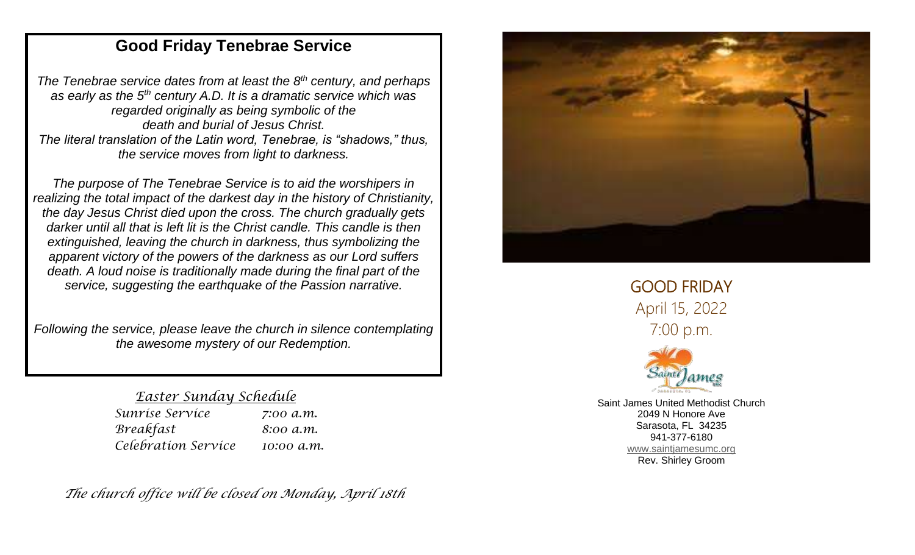## **Good Friday Tenebrae Service**

*The Tenebrae service dates from at least the 8th century, and perhaps as early as the 5th century A.D. It is a dramatic service which was regarded originally as being symbolic of the death and burial of Jesus Christ. The literal translation of the Latin word, Tenebrae, is "shadows," thus, the service moves from light to darkness.*

*The purpose of The Tenebrae Service is to aid the worshipers in realizing the total impact of the darkest day in the history of Christianity, the day Jesus Christ died upon the cross. The church gradually gets darker until all that is left lit is the Christ candle. This candle is then extinguished, leaving the church in darkness, thus symbolizing the apparent victory of the powers of the darkness as our Lord suffers death. A loud noise is traditionally made during the final part of the service, suggesting the earthquake of the Passion narrative.*

*Following the service, please leave the church in silence contemplating the awesome mystery of our Redemption.*

## *Easter Sunday Schedule*

| Sunríse Servíce     | 7:00 a.m.  |
|---------------------|------------|
| Breakfast           | 8:00 a.m.  |
| Celebration Service | 10:00 а.т. |

*The church office will be closed on Monday, April 18th*



GOOD FRIDAY April 15, 2022 7:00 p.m.



Saint James United Methodist Church 2049 N Honore Ave Sarasota, FL 34235 941-377-6180 www.saintiamesumc.org Rev. Shirley Groom